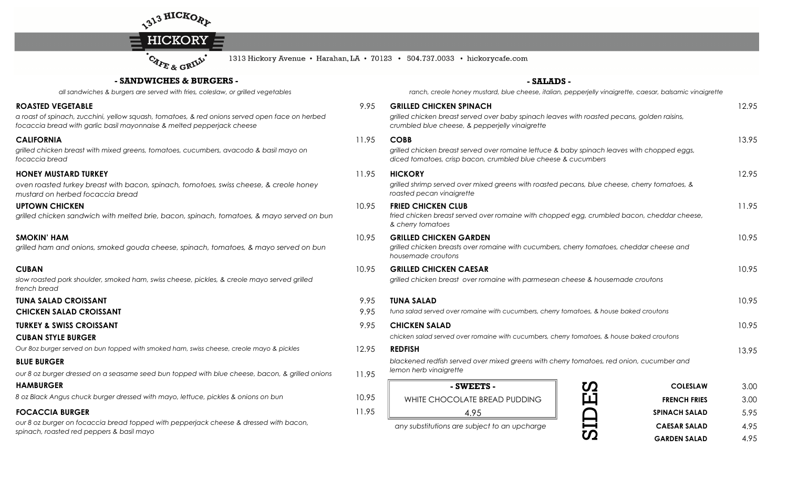



1313 Hickory Avenue • Harahan, LA • 70123 • 504.737.0033 • hickorycafe.com

## **- SANDWICHES & BURGERS -**

*all sandwiches & burgers are served with fries, coleslaw, or grilled vegetables*

#### **ROASTED VEGETABLE**

 *a roast of spinach, zucchini, yellow squash, tomatoes, & red onions served open face on herbed focaccia bread with garlic basil mayonnaise & melted pepperjack cheese*

#### **CALIFORNIA**

 *grilled chicken breast with mixed greens, tomatoes, cucumbers, avacodo & basil mayo on focaccia bread*

### **HONEY MUSTARD TURKEY**

 *oven roasted turkey breast with bacon, spinach, tomotoes, swiss cheese, & creole honey mustard on herbed focaccia bread*

### **UPTOWN CHICKEN**

*grilled chicken sandwich with melted brie, bacon, spinach, tomatoes, & mayo served on bun*

#### **SMOKIN' HAM**

*grilled ham and onions, smoked gouda cheese, spinach, tomatoes, & mayo served on bun*

#### **CUBAN**

*slow roasted pork shoulder, smoked ham, swiss cheese, pickles, & creole mayo served grilled french bread*

### **TUNA SALAD CROISSANT**

**CHICKEN SALAD CROISSANTT**  $9.95$ 

### **TURKEY & SWISS CROISSANT**

### **CUBAN STYLE BURGER**

*Our 8oz burger served on bun topped with smoked ham, swiss cheese, creole mayo & pickles*

### **BLUE BURGER**

*our 8 oz burger dressed on a seasame seed bun topped with blue cheese, bacon, & grilled onions*

### **HAMBURGER**

*8 oz Black Angus chuck burger dressed with mayo, lettuce, pickles & onions on bun*

### **FOCACCIA BURGER**

*our 8 oz burger on focaccia bread topped with pepperjack cheese & dressed with bacon, spinach, roasted red peppers & basil mayo*

### **- SALADS -**

 *ranch, creole honey mustard, blue cheese, italian, pepperjelly vinaigrette, caesar, balsamic vinaigrette*

| EGETABLE                                                                                                                                       | 9.95  | <b>GRILLED CHICKEN SPINACH</b>                                                                                                                               |                           | 12.95 |
|------------------------------------------------------------------------------------------------------------------------------------------------|-------|--------------------------------------------------------------------------------------------------------------------------------------------------------------|---------------------------|-------|
| nach, zucchini, yellow squash, tomatoes, & red onions served open face on herbed<br>ad with garlic basil mayonnaise & melted pepperjack cheese |       | grilled chicken breast served over baby spinach leaves with roasted pecans, golden raisins,<br>crumbled blue cheese, & pepperjelly vinaigrette               |                           |       |
|                                                                                                                                                | 11.95 | <b>COBB</b>                                                                                                                                                  |                           | 13.95 |
| n breast with mixed greens, tomatoes, cucumbers, avacodo & basil mayo on<br>ad                                                                 |       | grilled chicken breast served over romaine lettuce & baby spinach leaves with chopped eggs,<br>diced tomatoes, crisp bacon, crumbled blue cheese & cucumbers |                           |       |
| STARD TURKEY                                                                                                                                   | 11.95 | <b>HICKORY</b>                                                                                                                                               |                           | 12.95 |
| I turkey breast with bacon, spinach, tomotoes, swiss cheese, & creole honey<br>erbed focaccia bread                                            |       | grilled shrimp served over mixed greens with roasted pecans, blue cheese, cherry tomatoes, &<br>roasted pecan vinaigrette                                    |                           |       |
| <b>IICKEN</b><br>en sandwich with melted brie, bacon, spinach, tomatoes, & mayo served on bun                                                  | 10.95 | <b>FRIED CHICKEN CLUB</b><br>fried chicken breast served over romaine with chopped egg, crumbled bacon, cheddar cheese,<br>& cherry tomatoes                 |                           |       |
| ١М<br>and onions, smoked gouda cheese, spinach, tomatoes, & mayo served on bun                                                                 | 10.95 | <b>GRILLED CHICKEN GARDEN</b><br>grilled chicken breasts over romaine with cucumbers, cherry tomatoes, cheddar cheese and<br>housemade croutons              |                           | 10.95 |
| pork shoulder, smoked ham, swiss cheese, pickles, & creole mayo served grilled                                                                 | 10.95 | <b>GRILLED CHICKEN CAESAR</b><br>grilled chicken breast over romaine with parmesean cheese & housemade croutons                                              |                           | 10.95 |
| D CROISSANT                                                                                                                                    | 9.95  | <b>TUNA SALAD</b>                                                                                                                                            |                           | 10.95 |
| <b>ALAD CROISSANT</b>                                                                                                                          | 9.95  | tuna salad served over romaine with cucumbers, cherry tomatoes, & house baked croutons                                                                       |                           |       |
| <b>NISS CROISSANT</b>                                                                                                                          | 9.95  | <b>CHICKEN SALAD</b>                                                                                                                                         |                           | 10.95 |
| <b>LE BURGER</b>                                                                                                                               |       | chicken salad served over romaine with cucumbers, cherry tomatoes, & house baked croutons                                                                    |                           |       |
| r served on bun topped with smoked ham, swiss cheese, creole mayo & pickles                                                                    | 12.95 | <b>REDFISH</b>                                                                                                                                               |                           | 13.95 |
| :R                                                                                                                                             |       | blackened redfish served over mixed greens with cherry tomatoes, red onion, cucumber and                                                                     |                           |       |
| er dressed on a seasame seed bun topped with blue cheese, bacon, & grilled onions                                                              | 11.95 | lemon herb vinaigrette                                                                                                                                       |                           |       |
|                                                                                                                                                |       | - SWEETS -                                                                                                                                                   | <b>COLESLAW</b>           | 3.00  |
| gus chuck burger dressed with mayo, lettuce, pickles & onions on bun                                                                           | 10.95 | WHITE CHOCOLATE BREAD PUDDING                                                                                                                                | ĽЦ<br><b>FRENCH FRIES</b> | 3.00  |
| <b>BURGER</b>                                                                                                                                  | 11.95 | 4.95                                                                                                                                                         | <b>SPINACH SALAD</b>      | 5.95  |
|                                                                                                                                                |       |                                                                                                                                                              |                           |       |

 $\boldsymbol{\Omega}$ 

any substitutions are subject to an upcharge